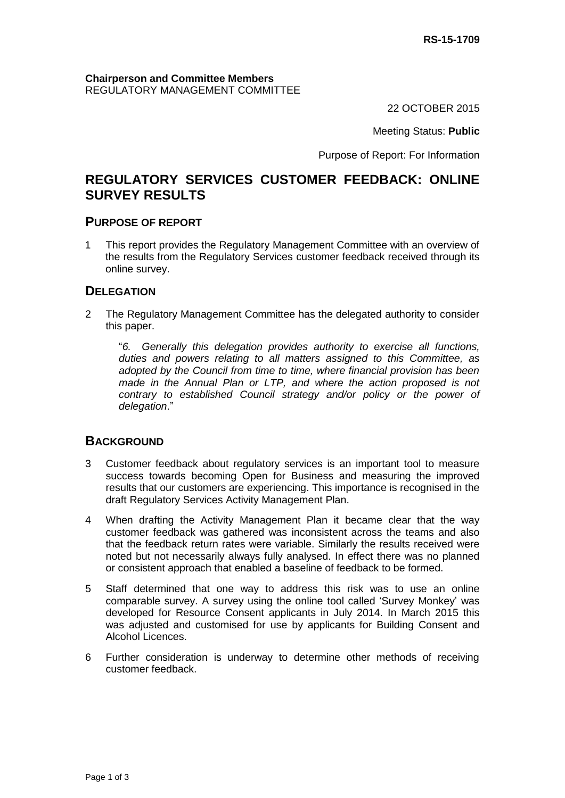#### **Chairperson and Committee Members** REGULATORY MANAGEMENT COMMITTEE

22 OCTOBER 2015

Meeting Status: **Public**

Purpose of Report: For Information

# **REGULATORY SERVICES CUSTOMER FEEDBACK: ONLINE SURVEY RESULTS**

#### **PURPOSE OF REPORT**

1 This report provides the Regulatory Management Committee with an overview of the results from the Regulatory Services customer feedback received through its online survey.

#### **DELEGATION**

2 The Regulatory Management Committee has the delegated authority to consider this paper.

"*6. Generally this delegation provides authority to exercise all functions, duties and powers relating to all matters assigned to this Committee, as adopted by the Council from time to time, where financial provision has been made in the Annual Plan or LTP, and where the action proposed is not contrary to established Council strategy and/or policy or the power of delegation*."

## **BACKGROUND**

- 3 Customer feedback about regulatory services is an important tool to measure success towards becoming Open for Business and measuring the improved results that our customers are experiencing. This importance is recognised in the draft Regulatory Services Activity Management Plan.
- 4 When drafting the Activity Management Plan it became clear that the way customer feedback was gathered was inconsistent across the teams and also that the feedback return rates were variable. Similarly the results received were noted but not necessarily always fully analysed. In effect there was no planned or consistent approach that enabled a baseline of feedback to be formed.
- 5 Staff determined that one way to address this risk was to use an online comparable survey. A survey using the online tool called 'Survey Monkey' was developed for Resource Consent applicants in July 2014. In March 2015 this was adjusted and customised for use by applicants for Building Consent and Alcohol Licences.
- 6 Further consideration is underway to determine other methods of receiving customer feedback.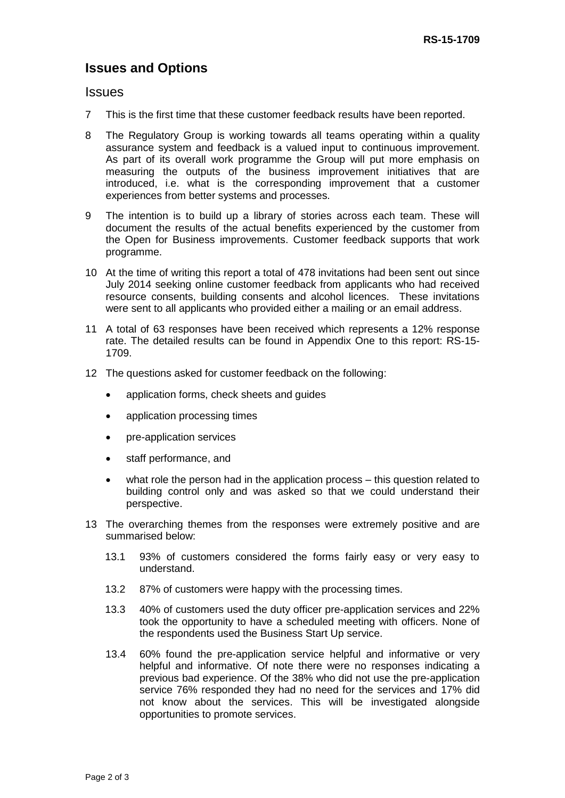# **Issues and Options**

#### **Issues**

- 7 This is the first time that these customer feedback results have been reported.
- 8 The Regulatory Group is working towards all teams operating within a quality assurance system and feedback is a valued input to continuous improvement. As part of its overall work programme the Group will put more emphasis on measuring the outputs of the business improvement initiatives that are introduced, i.e. what is the corresponding improvement that a customer experiences from better systems and processes.
- 9 The intention is to build up a library of stories across each team. These will document the results of the actual benefits experienced by the customer from the Open for Business improvements. Customer feedback supports that work programme.
- 10 At the time of writing this report a total of 478 invitations had been sent out since July 2014 seeking online customer feedback from applicants who had received resource consents, building consents and alcohol licences. These invitations were sent to all applicants who provided either a mailing or an email address.
- 11 A total of 63 responses have been received which represents a 12% response rate. The detailed results can be found in Appendix One to this report: RS-15- 1709.
- 12 The questions asked for customer feedback on the following:
	- application forms, check sheets and guides
	- application processing times
	- pre-application services
	- staff performance, and
	- what role the person had in the application process this question related to building control only and was asked so that we could understand their perspective.
- 13 The overarching themes from the responses were extremely positive and are summarised below:
	- 13.1 93% of customers considered the forms fairly easy or very easy to understand.
	- 13.2 87% of customers were happy with the processing times.
	- 13.3 40% of customers used the duty officer pre-application services and 22% took the opportunity to have a scheduled meeting with officers. None of the respondents used the Business Start Up service.
	- 13.4 60% found the pre-application service helpful and informative or very helpful and informative. Of note there were no responses indicating a previous bad experience. Of the 38% who did not use the pre-application service 76% responded they had no need for the services and 17% did not know about the services. This will be investigated alongside opportunities to promote services.